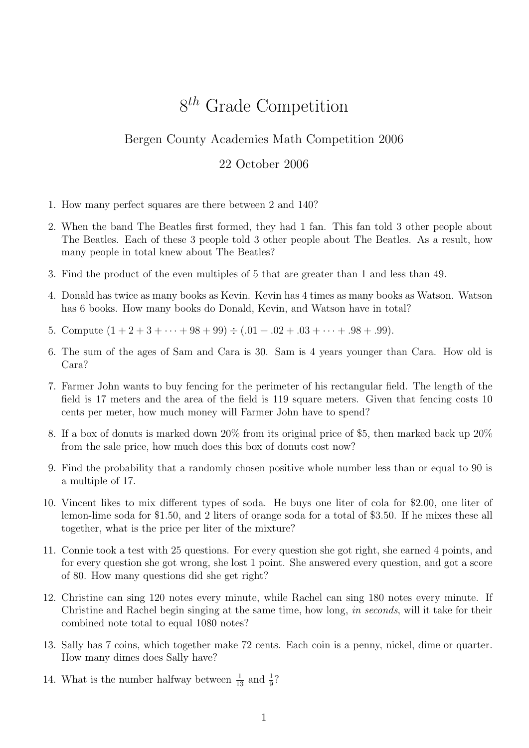## 8<sup>th</sup> Grade Competition

## Bergen County Academies Math Competition 2006

## 22 October 2006

- 1. How many perfect squares are there between 2 and 140?
- 2. When the band The Beatles first formed, they had 1 fan. This fan told 3 other people about The Beatles. Each of these 3 people told 3 other people about The Beatles. As a result, how many people in total knew about The Beatles?
- 3. Find the product of the even multiples of 5 that are greater than 1 and less than 49.
- 4. Donald has twice as many books as Kevin. Kevin has 4 times as many books as Watson. Watson has 6 books. How many books do Donald, Kevin, and Watson have in total?
- 5. Compute  $(1 + 2 + 3 + \cdots + 98 + 99) \div (0.01 + 0.02 + 0.03 + \cdots + 0.98 + 0.99)$ .
- 6. The sum of the ages of Sam and Cara is 30. Sam is 4 years younger than Cara. How old is Cara?
- 7. Farmer John wants to buy fencing for the perimeter of his rectangular field. The length of the field is 17 meters and the area of the field is 119 square meters. Given that fencing costs 10 cents per meter, how much money will Farmer John have to spend?
- 8. If a box of donuts is marked down 20% from its original price of \$5, then marked back up 20% from the sale price, how much does this box of donuts cost now?
- 9. Find the probability that a randomly chosen positive whole number less than or equal to 90 is a multiple of 17.
- 10. Vincent likes to mix different types of soda. He buys one liter of cola for \$2.00, one liter of lemon-lime soda for \$1.50, and 2 liters of orange soda for a total of \$3.50. If he mixes these all together, what is the price per liter of the mixture?
- 11. Connie took a test with 25 questions. For every question she got right, she earned 4 points, and for every question she got wrong, she lost 1 point. She answered every question, and got a score of 80. How many questions did she get right?
- 12. Christine can sing 120 notes every minute, while Rachel can sing 180 notes every minute. If Christine and Rachel begin singing at the same time, how long, in seconds, will it take for their combined note total to equal 1080 notes?
- 13. Sally has 7 coins, which together make 72 cents. Each coin is a penny, nickel, dime or quarter. How many dimes does Sally have?
- 14. What is the number halfway between  $\frac{1}{13}$  and  $\frac{1}{9}$ ?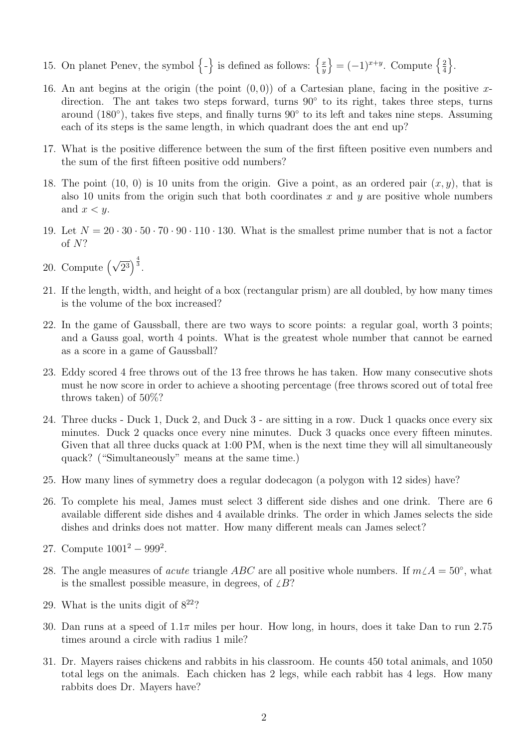- 15. On planet Penev, the symbol  $\{-\}$  is defined as follows:  $\{\frac{x}{y}\}$  $\overline{y}$  $\left\{ = (-1)^{x+y}$ . Compute  $\left\{ \frac{2}{4} \right\}$ 4  $\big\}$ .
- 16. An ant begins at the origin (the point  $(0, 0)$ ) of a Cartesian plane, facing in the positive xdirection. The ant takes two steps forward, turns 90° to its right, takes three steps, turns around (180°), takes five steps, and finally turns 90° to its left and takes nine steps. Assuming each of its steps is the same length, in which quadrant does the ant end up?
- 17. What is the positive difference between the sum of the first fifteen positive even numbers and the sum of the first fifteen positive odd numbers?
- 18. The point (10, 0) is 10 units from the origin. Give a point, as an ordered pair  $(x, y)$ , that is also 10 units from the origin such that both coordinates x and y are positive whole numbers and  $x < y$ .
- 19. Let  $N = 20 \cdot 30 \cdot 50 \cdot 70 \cdot 90 \cdot 110 \cdot 130$ . What is the smallest prime number that is not a factor of N?
- 20. Compute  $(\sqrt{2^3})^{\frac{4}{3}}$ .
- 21. If the length, width, and height of a box (rectangular prism) are all doubled, by how many times is the volume of the box increased?
- 22. In the game of Gaussball, there are two ways to score points: a regular goal, worth 3 points; and a Gauss goal, worth 4 points. What is the greatest whole number that cannot be earned as a score in a game of Gaussball?
- 23. Eddy scored 4 free throws out of the 13 free throws he has taken. How many consecutive shots must he now score in order to achieve a shooting percentage (free throws scored out of total free throws taken) of 50%?
- 24. Three ducks Duck 1, Duck 2, and Duck 3 are sitting in a row. Duck 1 quacks once every six minutes. Duck 2 quacks once every nine minutes. Duck 3 quacks once every fifteen minutes. Given that all three ducks quack at 1:00 PM, when is the next time they will all simultaneously quack? ("Simultaneously" means at the same time.)
- 25. How many lines of symmetry does a regular dodecagon (a polygon with 12 sides) have?
- 26. To complete his meal, James must select 3 different side dishes and one drink. There are 6 available different side dishes and 4 available drinks. The order in which James selects the side dishes and drinks does not matter. How many different meals can James select?
- 27. Compute  $1001^2 999^2$ .
- 28. The angle measures of *acute* triangle ABC are all positive whole numbers. If  $m\angle A = 50°$ , what is the smallest possible measure, in degrees, of  $\angle B$ ?
- 29. What is the units digit of  $8^{22}$ ?
- 30. Dan runs at a speed of  $1.1\pi$  miles per hour. How long, in hours, does it take Dan to run 2.75 times around a circle with radius 1 mile?
- 31. Dr. Mayers raises chickens and rabbits in his classroom. He counts 450 total animals, and 1050 total legs on the animals. Each chicken has 2 legs, while each rabbit has 4 legs. How many rabbits does Dr. Mayers have?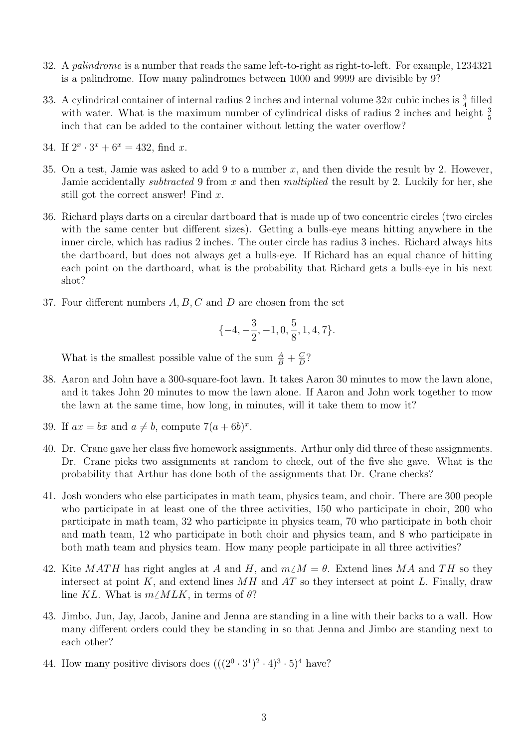- 32. A palindrome is a number that reads the same left-to-right as right-to-left. For example, 1234321 is a palindrome. How many palindromes between 1000 and 9999 are divisible by 9?
- 33. A cylindrical container of internal radius 2 inches and internal volume  $32\pi$  cubic inches is  $\frac{3}{4}$  filled with water. What is the maximum number of cylindrical disks of radius 2 inches and height  $\frac{3}{5}$ inch that can be added to the container without letting the water overflow?
- 34. If  $2^x \cdot 3^x + 6^x = 432$ , find x.
- 35. On a test, Jamie was asked to add 9 to a number  $x$ , and then divide the result by 2. However, Jamie accidentally subtracted 9 from x and then multiplied the result by 2. Luckily for her, she still got the correct answer! Find x.
- 36. Richard plays darts on a circular dartboard that is made up of two concentric circles (two circles with the same center but different sizes). Getting a bulls-eye means hitting anywhere in the inner circle, which has radius 2 inches. The outer circle has radius 3 inches. Richard always hits the dartboard, but does not always get a bulls-eye. If Richard has an equal chance of hitting each point on the dartboard, what is the probability that Richard gets a bulls-eye in his next shot?
- 37. Four different numbers A, B, C and D are chosen from the set

$$
\{-4,-\frac{3}{2},-1,0,\frac{5}{8},1,4,7\}.
$$

What is the smallest possible value of the sum  $\frac{A}{B} + \frac{C}{D}$  $\frac{C}{D}$ ?

- 38. Aaron and John have a 300-square-foot lawn. It takes Aaron 30 minutes to mow the lawn alone, and it takes John 20 minutes to mow the lawn alone. If Aaron and John work together to mow the lawn at the same time, how long, in minutes, will it take them to mow it?
- 39. If  $ax = bx$  and  $a \neq b$ , compute  $7(a + 6b)^x$ .
- 40. Dr. Crane gave her class five homework assignments. Arthur only did three of these assignments. Dr. Crane picks two assignments at random to check, out of the five she gave. What is the probability that Arthur has done both of the assignments that Dr. Crane checks?
- 41. Josh wonders who else participates in math team, physics team, and choir. There are 300 people who participate in at least one of the three activities, 150 who participate in choir, 200 who participate in math team, 32 who participate in physics team, 70 who participate in both choir and math team, 12 who participate in both choir and physics team, and 8 who participate in both math team and physics team. How many people participate in all three activities?
- 42. Kite MATH has right angles at A and H, and  $m/M = \theta$ . Extend lines MA and TH so they intersect at point K, and extend lines  $MH$  and  $AT$  so they intersect at point L. Finally, draw line KL. What is  $m\angle MLK$ , in terms of  $\theta$ ?
- 43. Jimbo, Jun, Jay, Jacob, Janine and Jenna are standing in a line with their backs to a wall. How many different orders could they be standing in so that Jenna and Jimbo are standing next to each other?
- 44. How many positive divisors does  $(((2^0 \cdot 3^1)^2 \cdot 4)^3 \cdot 5)^4$  have?